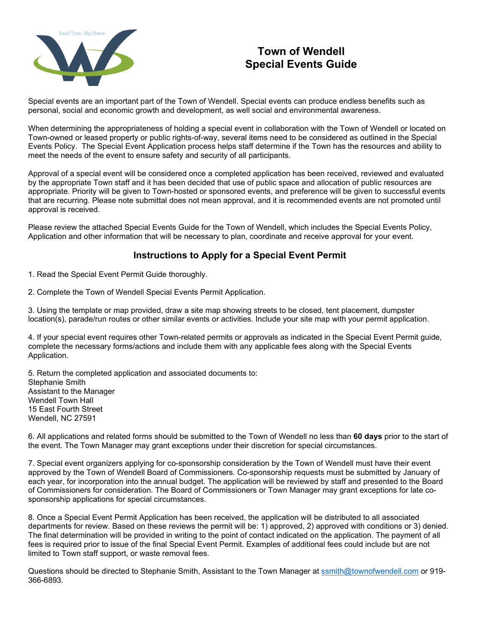

# **Town of Wendell Special Events Guide**

Special events are an important part of the Town of Wendell. Special events can produce endless benefits such as personal, social and economic growth and development, as well social and environmental awareness.

When determining the appropriateness of holding a special event in collaboration with the Town of Wendell or located on Town-owned or leased property or public rights-of-way, several items need to be considered as outlined in the Special Events Policy. The Special Event Application process helps staff determine if the Town has the resources and ability to meet the needs of the event to ensure safety and security of all participants.

Approval of a special event will be considered once a completed application has been received, reviewed and evaluated by the appropriate Town staff and it has been decided that use of public space and allocation of public resources are appropriate. Priority will be given to Town-hosted or sponsored events, and preference will be given to successful events that are recurring. Please note submittal does not mean approval, and it is recommended events are not promoted until approval is received.

Please review the attached Special Events Guide for the Town of Wendell, which includes the Special Events Policy, Application and other information that will be necessary to plan, coordinate and receive approval for your event.

# **Instructions to Apply for a Special Event Permit**

- 1. Read the Special Event Permit Guide thoroughly.
- 2. Complete the Town of Wendell Special Events Permit Application.

3. Using the template or map provided, draw a site map showing streets to be closed, tent placement, dumpster location(s), parade/run routes or other similar events or activities. Include your site map with your permit application.

4. If your special event requires other Town-related permits or approvals as indicated in the Special Event Permit guide, complete the necessary forms/actions and include them with any applicable fees along with the Special Events Application.

5. Return the completed application and associated documents to: Stephanie Smith Assistant to the Manager Wendell Town Hall 15 East Fourth Street Wendell, NC 27591

6. All applications and related forms should be submitted to the Town of Wendell no less than **60 days** prior to the start of the event. The Town Manager may grant exceptions under their discretion for special circumstances.

7. Special event organizers applying for co-sponsorship consideration by the Town of Wendell must have their event approved by the Town of Wendell Board of Commissioners. Co-sponsorship requests must be submitted by January of each year, for incorporation into the annual budget. The application will be reviewed by staff and presented to the Board of Commissioners for consideration. The Board of Commissioners or Town Manager may grant exceptions for late cosponsorship applications for special circumstances.

8. Once a Special Event Permit Application has been received, the application will be distributed to all associated departments for review. Based on these reviews the permit will be: 1) approved, 2) approved with conditions or 3) denied. The final determination will be provided in writing to the point of contact indicated on the application. The payment of all fees is required prior to issue of the final Special Event Permit. Examples of additional fees could include but are not limited to Town staff support, or waste removal fees.

Questions should be directed to Stephanie Smith, Assistant to the Town Manager at [ssmith@townofwendell.com](mailto:ssmith@townofwendell.com) or 919- 366-6893.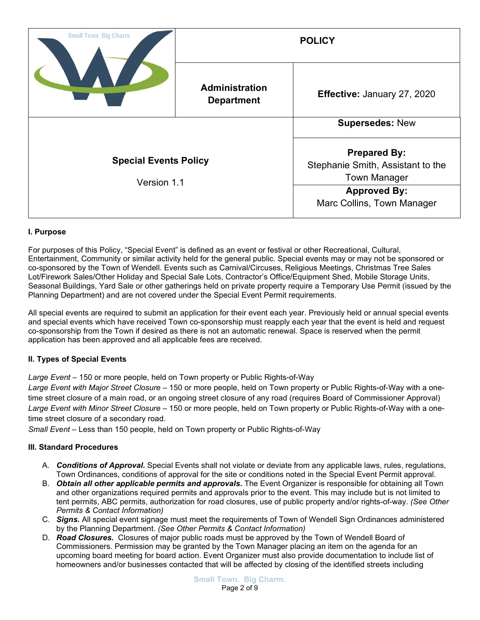| <b>Small Town. Big Charm.</b>               |                                            | <b>POLICY</b>                                                                                                                        |  |
|---------------------------------------------|--------------------------------------------|--------------------------------------------------------------------------------------------------------------------------------------|--|
|                                             | <b>Administration</b><br><b>Department</b> | Effective: January 27, 2020                                                                                                          |  |
|                                             |                                            | <b>Supersedes: New</b>                                                                                                               |  |
| <b>Special Events Policy</b><br>Version 1.1 |                                            | <b>Prepared By:</b><br>Stephanie Smith, Assistant to the<br><b>Town Manager</b><br><b>Approved By:</b><br>Marc Collins, Town Manager |  |

## **I. Purpose**

For purposes of this Policy, "Special Event" is defined as an event or festival or other Recreational, Cultural, Entertainment, Community or similar activity held for the general public. Special events may or may not be sponsored or co-sponsored by the Town of Wendell. Events such as Carnival/Circuses, Religious Meetings, Christmas Tree Sales Lot/Firework Sales/Other Holiday and Special Sale Lots, Contractor's Office/Equipment Shed, Mobile Storage Units, Seasonal Buildings, Yard Sale or other gatherings held on private property require a Temporary Use Permit (issued by the Planning Department) and are not covered under the Special Event Permit requirements.

All special events are required to submit an application for their event each year. Previously held or annual special events and special events which have received Town co-sponsorship must reapply each year that the event is held and request co-sponsorship from the Town if desired as there is not an automatic renewal. Space is reserved when the permit application has been approved and all applicable fees are received.

## **II. Types of Special Events**

*Large Event –* 150 or more people, held on Town property or Public Rights-of-Way

*Large Event with Major Street Closure –* 150 or more people, held on Town property or Public Rights-of-Way with a onetime street closure of a main road, or an ongoing street closure of any road (requires Board of Commissioner Approval) *Large Event with Minor Street Closure* – 150 or more people, held on Town property or Public Rights-of-Way with a onetime street closure of a secondary road.

*Small Event* – Less than 150 people, held on Town property or Public Rights-of-Way

### **III. Standard Procedures**

- A. *Conditions of Approval***.** Special Events shall not violate or deviate from any applicable laws, rules, regulations, Town Ordinances, conditions of approval for the site or conditions noted in the Special Event Permit approval.
- B. *Obtain all other applicable permits and approvals***.** The Event Organizer is responsible for obtaining all Town and other organizations required permits and approvals prior to the event. This may include but is not limited to tent permits, ABC permits, authorization for road closures, use of public property and/or rights-of-way. *(See Other Permits & Contact Information)*
- C. *Signs.* All special event signage must meet the requirements of Town of Wendell Sign Ordinances administered by the Planning Department. *(See Other Permits & Contact Information)*
- D. *Road Closures.* Closures of major public roads must be approved by the Town of Wendell Board of Commissioners. Permission may be granted by the Town Manager placing an item on the agenda for an upcoming board meeting for board action. Event Organizer must also provide documentation to include list of homeowners and/or businesses contacted that will be affected by closing of the identified streets including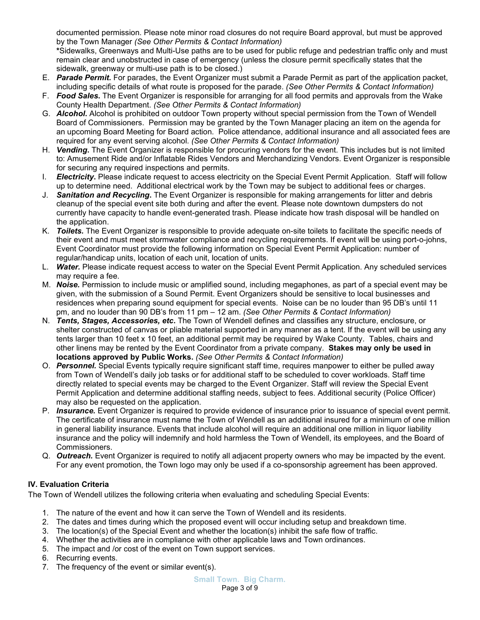documented permission. Please note minor road closures do not require Board approval, but must be approved by the Town Manager *(See Other Permits & Contact Information)*

**\***Sidewalks, Greenways and Multi-Use paths are to be used for public refuge and pedestrian traffic only and must remain clear and unobstructed in case of emergency (unless the closure permit specifically states that the sidewalk, greenway or multi-use path is to be closed.)

- E. *Parade Permit.* For parades, the Event Organizer must submit a Parade Permit as part of the application packet, including specific details of what route is proposed for the parade. *(See Other Permits & Contact Information)*
- F. *Food Sales***.** The Event Organizer is responsible for arranging for all food permits and approvals from the Wake County Health Department. *(See Other Permits & Contact Information)*
- G. *Alcohol***.** Alcohol is prohibited on outdoor Town property without special permission from the Town of Wendell Board of Commissioners. Permission may be granted by the Town Manager placing an item on the agenda for an upcoming Board Meeting for Board action. Police attendance, additional insurance and all associated fees are required for any event serving alcohol. *(See Other Permits & Contact Information)*
- H. *Vending***.** The Event Organizer is responsible for procuring vendors for the event. This includes but is not limited to: Amusement Ride and/or Inflatable Rides Vendors and Merchandizing Vendors. Event Organizer is responsible for securing any required inspections and permits.
- I. **Electricity.** Please indicate request to access electricity on the Special Event Permit Application. Staff will follow up to determine need. Additional electrical work by the Town may be subject to additional fees or charges.
- J. *Sanitation and Recycling***.** The Event Organizer is responsible for making arrangements for litter and debris cleanup of the special event site both during and after the event. Please note downtown dumpsters do not currently have capacity to handle event-generated trash. Please indicate how trash disposal will be handled on the application.
- K. *Toilets.* The Event Organizer is responsible to provide adequate on-site toilets to facilitate the specific needs of their event and must meet stormwater compliance and recycling requirements. If event will be using port-o-johns, Event Coordinator must provide the following information on Special Event Permit Application: number of regular/handicap units, location of each unit, location of units.
- L. *Water.* Please indicate request access to water on the Special Event Permit Application. Any scheduled services may require a fee.
- M. *Noise.* Permission to include music or amplified sound, including megaphones, as part of a special event may be given, with the submission of a Sound Permit. Event Organizers should be sensitive to local businesses and residences when preparing sound equipment for special events. Noise can be no louder than 95 DB's until 11 pm, and no louder than 90 DB's from 11 pm – 12 am. *(See Other Permits & Contact Information)*
- N. *Tents, Stages, Accessories, etc***.** The Town of Wendell defines and classifies any structure, enclosure, or shelter constructed of canvas or pliable material supported in any manner as a tent. If the event will be using any tents larger than 10 feet x 10 feet, an additional permit may be required by Wake County. Tables, chairs and other linens may be rented by the Event Coordinator from a private company. **Stakes may only be used in locations approved by Public Works.** *(See Other Permits & Contact Information)*
- O. *Personnel.* Special Events typically require significant staff time, requires manpower to either be pulled away from Town of Wendell's daily job tasks or for additional staff to be scheduled to cover workloads. Staff time directly related to special events may be charged to the Event Organizer. Staff will review the Special Event Permit Application and determine additional staffing needs, subject to fees. Additional security (Police Officer) may also be requested on the application.
- P. *Insurance.* Event Organizer is required to provide evidence of insurance prior to issuance of special event permit. The certificate of insurance must name the Town of Wendell as an additional insured for a minimum of one million in general liability insurance. Events that include alcohol will require an additional one million in liquor liability insurance and the policy will indemnify and hold harmless the Town of Wendell, its employees, and the Board of Commissioners.
- Q. *Outreach.* Event Organizer is required to notify all adjacent property owners who may be impacted by the event. For any event promotion, the Town logo may only be used if a co-sponsorship agreement has been approved.

## **IV. Evaluation Criteria**

The Town of Wendell utilizes the following criteria when evaluating and scheduling Special Events:

- 1. The nature of the event and how it can serve the Town of Wendell and its residents.
- 2. The dates and times during which the proposed event will occur including setup and breakdown time.
- 3. The location(s) of the Special Event and whether the location(s) inhibit the safe flow of traffic.
- 4. Whether the activities are in compliance with other applicable laws and Town ordinances.
- 5. The impact and /or cost of the event on Town support services.
- 6. Recurring events.
- 7. The frequency of the event or similar event(s).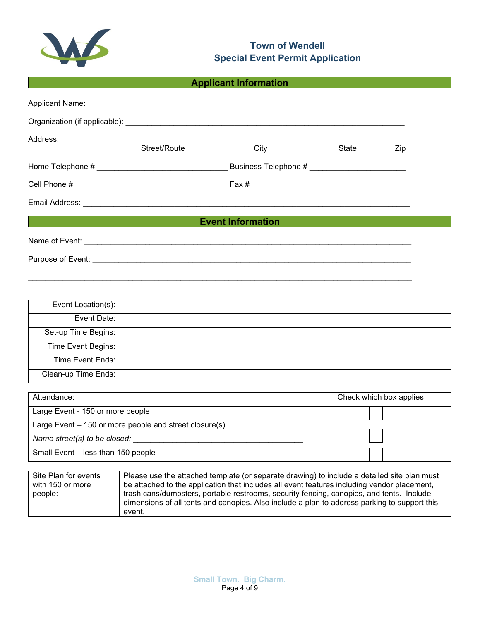

# **Town of Wendell Special Event Permit Application**

# **Applicant Information**

|                          | Street/Route | City | State | Zip |
|--------------------------|--------------|------|-------|-----|
|                          |              |      |       |     |
|                          |              |      |       |     |
|                          |              |      |       |     |
| <b>Event Information</b> |              |      |       |     |
|                          |              |      |       |     |
|                          |              |      |       |     |

| Event Location(s):  |  |
|---------------------|--|
| Event Date:         |  |
| Set-up Time Begins: |  |
| Time Event Begins:  |  |
| Time Event Ends:    |  |
| Clean-up Time Ends: |  |

\_\_\_\_\_\_\_\_\_\_\_\_\_\_\_\_\_\_\_\_\_\_\_\_\_\_\_\_\_\_\_\_\_\_\_\_\_\_\_\_\_\_\_\_\_\_\_\_\_\_\_\_\_\_\_\_\_\_\_\_\_\_\_\_\_\_\_\_\_\_\_\_\_\_\_\_\_\_\_\_\_\_\_\_\_\_\_\_

| Attendance:                                            | Check which box applies |  |
|--------------------------------------------------------|-------------------------|--|
| Large Event - 150 or more people                       |                         |  |
| Large Event - 150 or more people and street closure(s) |                         |  |
| Name street(s) to be closed:                           |                         |  |
| Small Event - less than 150 people                     |                         |  |

| Site Plan for events | Please use the attached template (or separate drawing) to include a detailed site plan must                                                                                                        |
|----------------------|----------------------------------------------------------------------------------------------------------------------------------------------------------------------------------------------------|
| with 150 or more     | be attached to the application that includes all event features including vendor placement,                                                                                                        |
| people:              | trash cans/dumpsters, portable restrooms, security fencing, canopies, and tents. Include<br>dimensions of all tents and canopies. Also include a plan to address parking to support this<br>event. |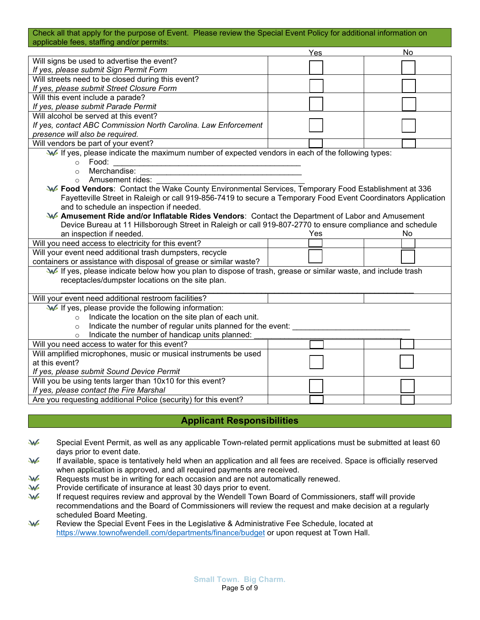#### Check all that apply for the purpose of Event. Please review the Special Event Policy for additional information on applicable fees, staffing and/or permits:

|                                                                                                               | Yes | No |
|---------------------------------------------------------------------------------------------------------------|-----|----|
| Will signs be used to advertise the event?                                                                    |     |    |
| If yes, please submit Sign Permit Form                                                                        |     |    |
| Will streets need to be closed during this event?                                                             |     |    |
| If yes, please submit Street Closure Form                                                                     |     |    |
| Will this event include a parade?                                                                             |     |    |
| If yes, please submit Parade Permit                                                                           |     |    |
| Will alcohol be served at this event?                                                                         |     |    |
| If yes, contact ABC Commission North Carolina. Law Enforcement                                                |     |    |
| presence will also be required.                                                                               |     |    |
| Will vendors be part of your event?                                                                           |     |    |
| W If yes, please indicate the maximum number of expected vendors in each of the following types:              |     |    |
| Food:<br>$\circ$                                                                                              |     |    |
| Merchandise:<br>$\circ$                                                                                       |     |    |
| Amusement rides:<br>$\Omega$                                                                                  |     |    |
| W Food Vendors: Contact the Wake County Environmental Services, Temporary Food Establishment at 336           |     |    |
| Fayetteville Street in Raleigh or call 919-856-7419 to secure a Temporary Food Event Coordinators Application |     |    |
| and to schedule an inspection if needed.                                                                      |     |    |
| <b>W</b> Amusement Ride and/or Inflatable Rides Vendors: Contact the Department of Labor and Amusement        |     |    |
| Device Bureau at 11 Hillsborough Street in Raleigh or call 919-807-2770 to ensure compliance and schedule     |     |    |
| an inspection if needed.                                                                                      | Yes | No |
| Will you need access to electricity for this event?                                                           |     |    |
| Will your event need additional trash dumpsters, recycle                                                      |     |    |
| containers or assistance with disposal of grease or similar waste?                                            |     |    |
| If yes, please indicate below how you plan to dispose of trash, grease or similar waste, and include trash    |     |    |
| receptacles/dumpster locations on the site plan.                                                              |     |    |
|                                                                                                               |     |    |
| Will your event need additional restroom facilities?                                                          |     |    |
| If yes, please provide the following information:                                                             |     |    |
| Indicate the location on the site plan of each unit.<br>$\circ$                                               |     |    |
| Indicate the number of regular units planned for the event:<br>$\circ$                                        |     |    |
| Indicate the number of handicap units planned:                                                                |     |    |
| Will you need access to water for this event?                                                                 |     |    |
| Will amplified microphones, music or musical instruments be used                                              |     |    |
| at this event?                                                                                                |     |    |
| If yes, please submit Sound Device Permit                                                                     |     |    |
| Will you be using tents larger than 10x10 for this event?                                                     |     |    |
| If yes, please contact the Fire Marshal                                                                       |     |    |
| Are you requesting additional Police (security) for this event?                                               |     |    |

# **Applicant Responsibilities**

- JAG Special Event Permit, as well as any applicable Town-related permit applications must be submitted at least 60 days prior to event date.
- W If available, space is tentatively held when an application and all fees are received. Space is officially reserved when application is approved, and all required payments are received.
- W Requests must be in writing for each occasion and are not automatically renewed.
- JAG Provide certificate of insurance at least 30 days prior to event.
- JAG If request requires review and approval by the Wendell Town Board of Commissioners, staff will provide recommendations and the Board of Commissioners will review the request and make decision at a regularly scheduled Board Meeting.
- JAG Review the Special Event Fees in the Legislative & Administrative Fee Schedule, located at <https://www.townofwendell.com/departments/finance/budget> or upon request at Town Hall.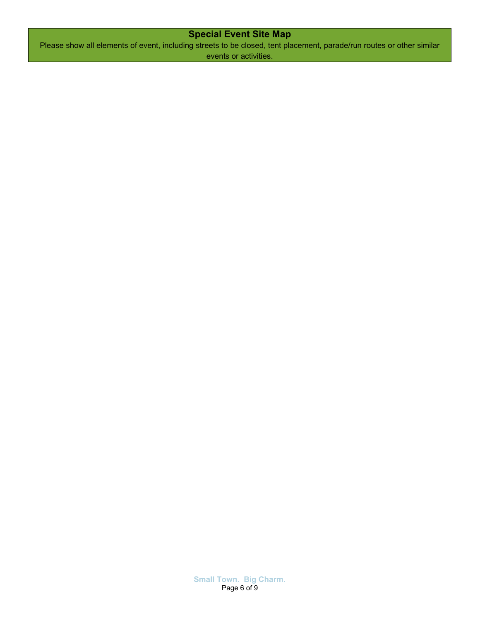# **Special Event Site Map**

Please show all elements of event, including streets to be closed, tent placement, parade/run routes or other similar events or activities.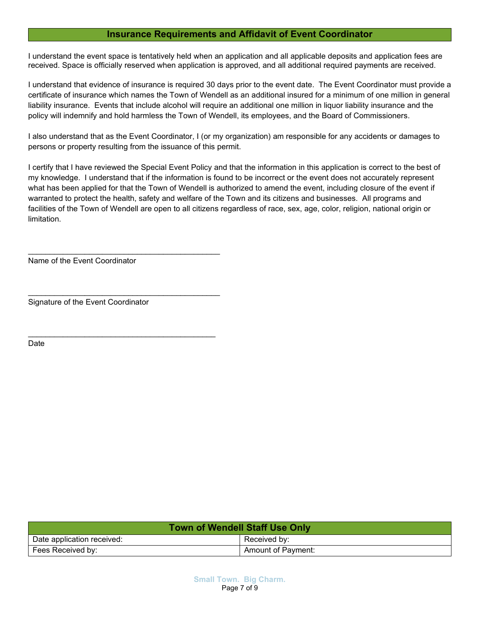## **Insurance Requirements and Affidavit of Event Coordinator**

I understand the event space is tentatively held when an application and all applicable deposits and application fees are received. Space is officially reserved when application is approved, and all additional required payments are received.

I understand that evidence of insurance is required 30 days prior to the event date. The Event Coordinator must provide a certificate of insurance which names the Town of Wendell as an additional insured for a minimum of one million in general liability insurance. Events that include alcohol will require an additional one million in liquor liability insurance and the policy will indemnify and hold harmless the Town of Wendell, its employees, and the Board of Commissioners.

I also understand that as the Event Coordinator, I (or my organization) am responsible for any accidents or damages to persons or property resulting from the issuance of this permit.

I certify that I have reviewed the Special Event Policy and that the information in this application is correct to the best of my knowledge. I understand that if the information is found to be incorrect or the event does not accurately represent what has been applied for that the Town of Wendell is authorized to amend the event, including closure of the event if warranted to protect the health, safety and welfare of the Town and its citizens and businesses. All programs and facilities of the Town of Wendell are open to all citizens regardless of race, sex, age, color, religion, national origin or limitation.

Name of the Event Coordinator

\_\_\_\_\_\_\_\_\_\_\_\_\_\_\_\_\_\_\_\_\_\_\_\_\_\_\_\_\_\_\_\_\_\_\_\_\_\_\_\_\_\_\_\_

\_\_\_\_\_\_\_\_\_\_\_\_\_\_\_\_\_\_\_\_\_\_\_\_\_\_\_\_\_\_\_\_\_\_\_\_\_\_\_\_\_\_\_\_

\_\_\_\_\_\_\_\_\_\_\_\_\_\_\_\_\_\_\_\_\_\_\_\_\_\_\_\_\_\_\_\_\_\_\_\_\_\_\_\_\_\_\_

Signature of the Event Coordinator

Date

| <b>Town of Wendell Staff Use Only</b> |                    |  |
|---------------------------------------|--------------------|--|
| Date application received:            | Received by:       |  |
| Fees Received by:                     | Amount of Payment: |  |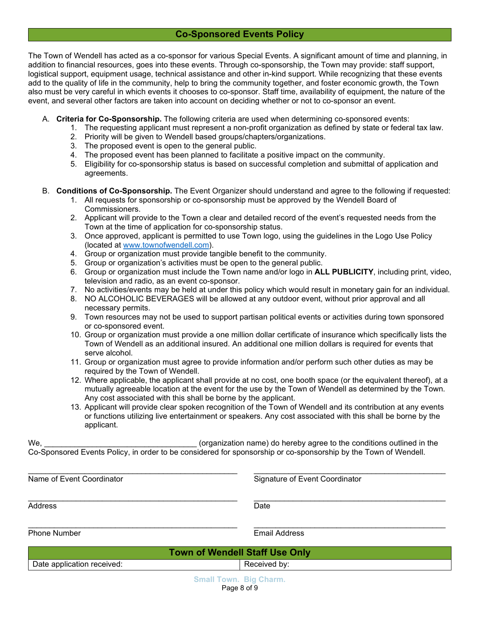# **Co-Sponsored Events Policy**

The Town of Wendell has acted as a co-sponsor for various Special Events. A significant amount of time and planning, in addition to financial resources, goes into these events. Through co-sponsorship, the Town may provide: staff support, logistical support, equipment usage, technical assistance and other in-kind support. While recognizing that these events add to the quality of life in the community, help to bring the community together, and foster economic growth, the Town also must be very careful in which events it chooses to co-sponsor. Staff time, availability of equipment, the nature of the event, and several other factors are taken into account on deciding whether or not to co-sponsor an event.

- A. **Criteria for Co-Sponsorship.** The following criteria are used when determining co-sponsored events:
	- 1. The requesting applicant must represent a non-profit organization as defined by state or federal tax law.
	- 2. Priority will be given to Wendell based groups/chapters/organizations.
	- 3. The proposed event is open to the general public.
	- 4. The proposed event has been planned to facilitate a positive impact on the community.
	- 5. Eligibility for co-sponsorship status is based on successful completion and submittal of application and agreements.
- B. **Conditions of Co-Sponsorship.** The Event Organizer should understand and agree to the following if requested:
	- 1. All requests for sponsorship or co-sponsorship must be approved by the Wendell Board of Commissioners.
	- 2. Applicant will provide to the Town a clear and detailed record of the event's requested needs from the Town at the time of application for co-sponsorship status.
	- 3. Once approved, applicant is permitted to use Town logo, using the guidelines in the Logo Use Policy (located at [www.townofwendell.com\)](http://www.townofwendell.com/).
	- 4. Group or organization must provide tangible benefit to the community.
	- 5. Group or organization's activities must be open to the general public.
	- 6. Group or organization must include the Town name and/or logo in **ALL PUBLICITY**, including print, video, television and radio, as an event co-sponsor.
	- 7. No activities/events may be held at under this policy which would result in monetary gain for an individual.
	- 8. NO ALCOHOLIC BEVERAGES will be allowed at any outdoor event, without prior approval and all necessary permits.
	- 9. Town resources may not be used to support partisan political events or activities during town sponsored or co-sponsored event.
	- 10. Group or organization must provide a one million dollar certificate of insurance which specifically lists the Town of Wendell as an additional insured. An additional one million dollars is required for events that serve alcohol.
	- 11. Group or organization must agree to provide information and/or perform such other duties as may be required by the Town of Wendell.
	- 12. Where applicable, the applicant shall provide at no cost, one booth space (or the equivalent thereof), at a mutually agreeable location at the event for the use by the Town of Wendell as determined by the Town. Any cost associated with this shall be borne by the applicant.
	- 13. Applicant will provide clear spoken recognition of the Town of Wendell and its contribution at any events or functions utilizing live entertainment or speakers. Any cost associated with this shall be borne by the applicant.

We, <u>the conditional conditional</u> (organization name) do hereby agree to the conditions outlined in the Co-Sponsored Events Policy, in order to be considered for sponsorship or co-sponsorship by the Town of Wendell.

\_\_\_\_\_\_\_\_\_\_\_\_\_\_\_\_\_\_\_\_\_\_\_\_\_\_\_\_\_\_\_\_\_\_\_\_\_\_\_\_\_\_\_\_\_\_\_\_ \_\_\_\_\_\_\_\_\_\_\_\_\_\_\_\_\_\_\_\_\_\_\_\_\_\_\_\_\_\_\_\_\_\_\_\_\_\_\_\_\_\_\_\_

\_\_\_\_\_\_\_\_\_\_\_\_\_\_\_\_\_\_\_\_\_\_\_\_\_\_\_\_\_\_\_\_\_\_\_\_\_\_\_\_\_\_\_\_\_\_\_\_ \_\_\_\_\_\_\_\_\_\_\_\_\_\_\_\_\_\_\_\_\_\_\_\_\_\_\_\_\_\_\_\_\_\_\_\_\_\_\_\_\_\_\_\_ Name of Event Coordinator **Name of Event Coordinator** Signature of Event Coordinator

Address Date

\_\_\_\_\_\_\_\_\_\_\_\_\_\_\_\_\_\_\_\_\_\_\_\_\_\_\_\_\_\_\_\_\_\_\_\_\_\_\_\_\_\_\_\_\_\_\_\_ \_\_\_\_\_\_\_\_\_\_\_\_\_\_\_\_\_\_\_\_\_\_\_\_\_\_\_\_\_\_\_\_\_\_\_\_\_\_\_\_\_\_\_\_ Phone Number **Email Address** 

| <b>Town of Wendell Staff Use Only</b> |                             |              |
|---------------------------------------|-----------------------------|--------------|
| Date application received:            |                             | Received by: |
|                                       | <b>Small Town Big Charm</b> |              |